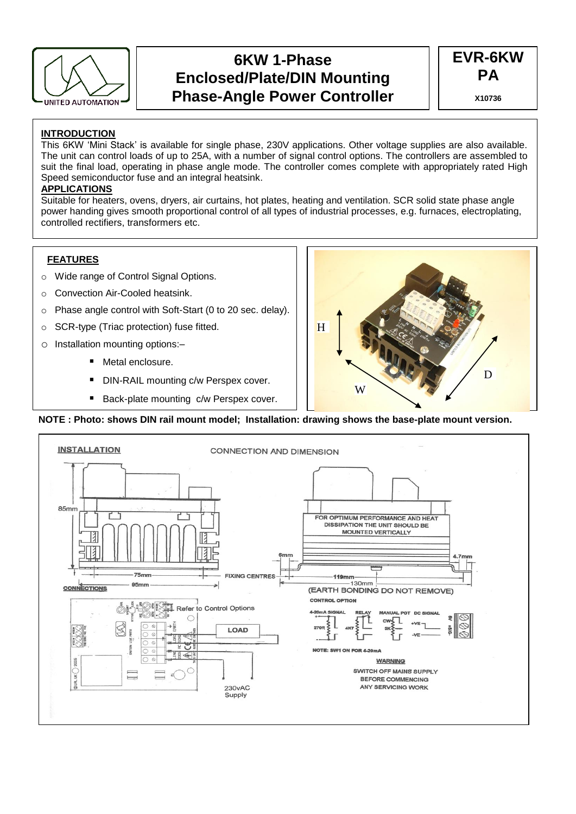

# **6KW 1-Phase Enclosed/Plate/DIN Mounting Phase-Angle Power Controller**



### **INTRODUCTION**

This 6KW 'Mini Stack' is available for single phase, 230V applications. Other voltage supplies are also available. The unit can control loads of up to 25A, with a number of signal control options. The controllers are assembled to suit the final load, operating in phase angle mode. The controller comes complete with appropriately rated High Speed semiconductor fuse and an integral heatsink.

### **APPLICATIONS**

Suitable for heaters, ovens, dryers, air curtains, hot plates, heating and ventilation. SCR solid state phase angle power handing gives smooth proportional control of all types of industrial processes, e.g. furnaces, electroplating, controlled rectifiers, transformers etc.

### **FEATURES**

- o Wide range of Control Signal Options.
- o Convection Air-Cooled heatsink.
- o Phase angle control with Soft-Start (0 to 20 sec. delay).
- o SCR-type (Triac protection) fuse fitted.
- o Installation mounting options:–
	- Metal enclosure.
	- DIN-RAIL mounting c/w Perspex cover.
	- Back-plate mounting c/w Perspex cover.



### **NOTE : Photo: shows DIN rail mount model; Installation: drawing shows the base-plate mount version.**